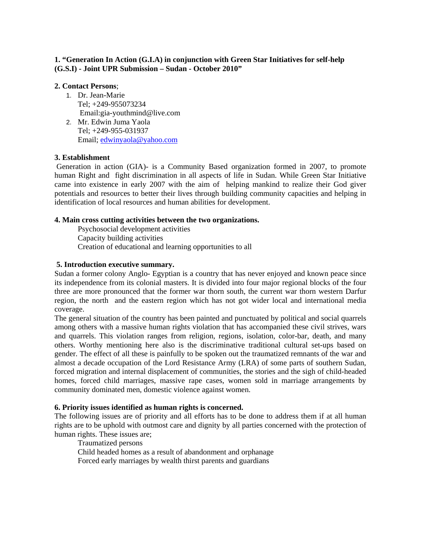# **1. "Generation In Action (G.I.A) in conjunction with Green Star Initiatives for self-help (G.S.I) - Joint UPR Submission – Sudan - October 2010"**

# **2. Contact Persons**;

- 1. Dr. Jean-Marie Tel; +249-955073234 Email:gia-youthmind@live.com
- 2. Mr. Edwin Juma Yaola Tel; +249-955-031937 Email; edwinyaola@yahoo.com

# **3. Establishment**

Generation in action (GIA)- is a Community Based organization formed in 2007, to promote human Right and fight discrimination in all aspects of life in Sudan. While Green Star Initiative came into existence in early 2007 with the aim of helping mankind to realize their God giver potentials and resources to better their lives through building community capacities and helping in identification of local resources and human abilities for development.

# **4. Main cross cutting activities between the two organizations.**

Psychosocial development activities Capacity building activities Creation of educational and learning opportunities to all

# **5. Introduction executive summary.**

Sudan a former colony Anglo- Egyptian is a country that has never enjoyed and known peace since its independence from its colonial masters. It is divided into four major regional blocks of the four three are more pronounced that the former war thorn south, the current war thorn western Darfur region, the north and the eastern region which has not got wider local and international media coverage.

The general situation of the country has been painted and punctuated by political and social quarrels among others with a massive human rights violation that has accompanied these civil strives, wars and quarrels. This violation ranges from religion, regions, isolation, color-bar, death, and many others. Worthy mentioning here also is the discriminative traditional cultural set-ups based on gender. The effect of all these is painfully to be spoken out the traumatized remnants of the war and almost a decade occupation of the Lord Resistance Army (LRA) of some parts of southern Sudan, forced migration and internal displacement of communities, the stories and the sigh of child-headed homes, forced child marriages, massive rape cases, women sold in marriage arrangements by community dominated men, domestic violence against women.

## **6. Priority issues identified as human rights is concerned.**

The following issues are of priority and all efforts has to be done to address them if at all human rights are to be uphold with outmost care and dignity by all parties concerned with the protection of human rights. These issues are;

Traumatized persons

Child headed homes as a result of abandonment and orphanage

Forced early marriages by wealth thirst parents and guardians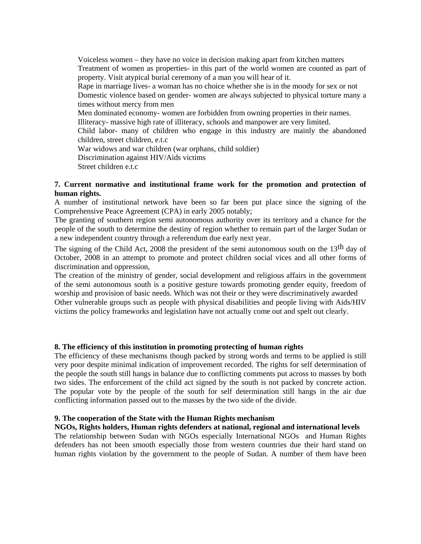Voiceless women – they have no voice in decision making apart from kitchen matters Treatment of women as properties- in this part of the world women are counted as part of property. Visit atypical burial ceremony of a man you will hear of it. Rape in marriage lives- a woman has no choice whether she is in the moody for sex or not Domestic violence based on gender- women are always subjected to physical torture many a times without mercy from men Men dominated economy- women are forbidden from owning properties in their names. Illiteracy- massive high rate of illiteracy, schools and manpower are very limited. Child labor- many of children who engage in this industry are mainly the abandoned children, street children, e.t.c War widows and war children (war orphans, child soldier) Discrimination against HIV/Aids victims Street children e.t.c

## **7. Current normative and institutional frame work for the promotion and protection of human rights.**

A number of institutional network have been so far been put place since the signing of the Comprehensive Peace Agreement (CPA) in early 2005 notably;

The granting of southern region semi autonomous authority over its territory and a chance for the people of the south to determine the destiny of region whether to remain part of the larger Sudan or a new independent country through a referendum due early next year.

The signing of the Child Act, 2008 the president of the semi autonomous south on the 13<sup>th</sup> day of October, 2008 in an attempt to promote and protect children social vices and all other forms of discrimination and oppression,

The creation of the ministry of gender, social development and religious affairs in the government of the semi autonomous south is a positive gesture towards promoting gender equity, freedom of worship and provision of basic needs. Which was not their or they were discriminatively awarded Other vulnerable groups such as people with physical disabilities and people living with Aids/HIV victims the policy frameworks and legislation have not actually come out and spelt out clearly.

#### **8. The efficiency of this institution in promoting protecting of human rights**

The efficiency of these mechanisms though packed by strong words and terms to be applied is still very poor despite minimal indication of improvement recorded. The rights for self determination of the people the south still hangs in balance due to conflicting comments put across to masses by both two sides. The enforcement of the child act signed by the south is not packed by concrete action. The popular vote by the people of the south for self determination still hangs in the air due conflicting information passed out to the masses by the two side of the divide.

#### **9. The cooperation of the State with the Human Rights mechanism**

**NGOs, Rights holders, Human rights defenders at national, regional and international levels**  The relationship between Sudan with NGOs especially International NGOs and Human Rights defenders has not been smooth especially those from western countries due their hard stand on human rights violation by the government to the people of Sudan. A number of them have been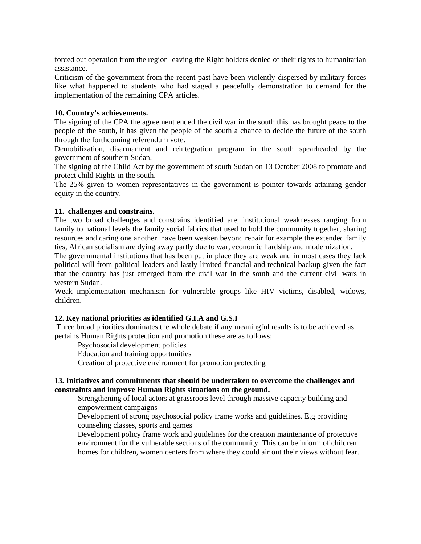forced out operation from the region leaving the Right holders denied of their rights to humanitarian assistance.

Criticism of the government from the recent past have been violently dispersed by military forces like what happened to students who had staged a peacefully demonstration to demand for the implementation of the remaining CPA articles.

## **10. Country's achievements.**

The signing of the CPA the agreement ended the civil war in the south this has brought peace to the people of the south, it has given the people of the south a chance to decide the future of the south through the forthcoming referendum vote.

Demobilization, disarmament and reintegration program in the south spearheaded by the government of southern Sudan.

The signing of the Child Act by the government of south Sudan on 13 October 2008 to promote and protect child Rights in the south.

The 25% given to women representatives in the government is pointer towards attaining gender equity in the country.

## **11. challenges and constrains.**

The two broad challenges and constrains identified are; institutional weaknesses ranging from family to national levels the family social fabrics that used to hold the community together, sharing resources and caring one another have been weaken beyond repair for example the extended family ties, African socialism are dying away partly due to war, economic hardship and modernization.

The governmental institutions that has been put in place they are weak and in most cases they lack political will from political leaders and lastly limited financial and technical backup given the fact that the country has just emerged from the civil war in the south and the current civil wars in western Sudan.

Weak implementation mechanism for vulnerable groups like HIV victims, disabled, widows, children,

## **12. Key national priorities as identified G.I.A and G.S.I**

Three broad priorities dominates the whole debate if any meaningful results is to be achieved as pertains Human Rights protection and promotion these are as follows;

Psychosocial development policies

Education and training opportunities

Creation of protective environment for promotion protecting

### **13. Initiatives and commitments that should be undertaken to overcome the challenges and constraints and improve Human Rights situations on the ground.**

Strengthening of local actors at grassroots level through massive capacity building and empowerment campaigns

Development of strong psychosocial policy frame works and guidelines. E.g providing counseling classes, sports and games

Development policy frame work and guidelines for the creation maintenance of protective environment for the vulnerable sections of the community. This can be inform of children homes for children, women centers from where they could air out their views without fear.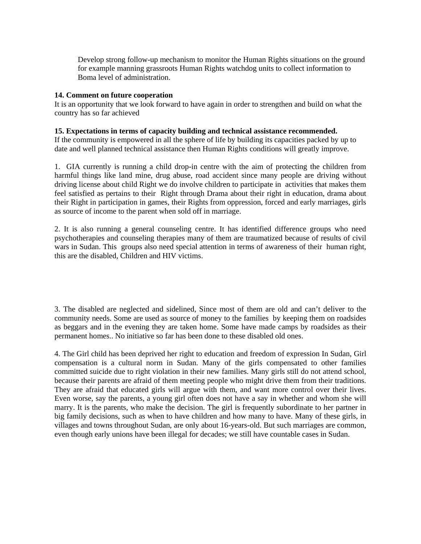Develop strong follow-up mechanism to monitor the Human Rights situations on the ground for example manning grassroots Human Rights watchdog units to collect information to Boma level of administration.

## **14. Comment on future cooperation**

It is an opportunity that we look forward to have again in order to strengthen and build on what the country has so far achieved

## **15. Expectations in terms of capacity building and technical assistance recommended.**

If the community is empowered in all the sphere of life by building its capacities packed by up to date and well planned technical assistance then Human Rights conditions will greatly improve.

1. GIA currently is running a child drop-in centre with the aim of protecting the children from harmful things like land mine, drug abuse, road accident since many people are driving without driving license about child Right we do involve children to participate in activities that makes them feel satisfied as pertains to their Right through Drama about their right in education, drama about their Right in participation in games, their Rights from oppression, forced and early marriages, girls as source of income to the parent when sold off in marriage.

2. It is also running a general counseling centre. It has identified difference groups who need psychotherapies and counseling therapies many of them are traumatized because of results of civil wars in Sudan. This groups also need special attention in terms of awareness of their human right, this are the disabled, Children and HIV victims.

3. The disabled are neglected and sidelined, Since most of them are old and can't deliver to the community needs. Some are used as source of money to the families by keeping them on roadsides as beggars and in the evening they are taken home. Some have made camps by roadsides as their permanent homes.. No initiative so far has been done to these disabled old ones.

4. The Girl child has been deprived her right to education and freedom of expression In Sudan, Girl compensation is a cultural norm in Sudan. Many of the girls compensated to other families committed suicide due to right violation in their new families. Many girls still do not attend school, because their parents are afraid of them meeting people who might drive them from their traditions. They are afraid that educated girls will argue with them, and want more control over their lives. Even worse, say the parents, a young girl often does not have a say in whether and whom she will marry. It is the parents, who make the decision. The girl is frequently subordinate to her partner in big family decisions, such as when to have children and how many to have. Many of these girls, in villages and towns throughout Sudan, are only about 16-years-old. But such marriages are common, even though early unions have been illegal for decades; we still have countable cases in Sudan.